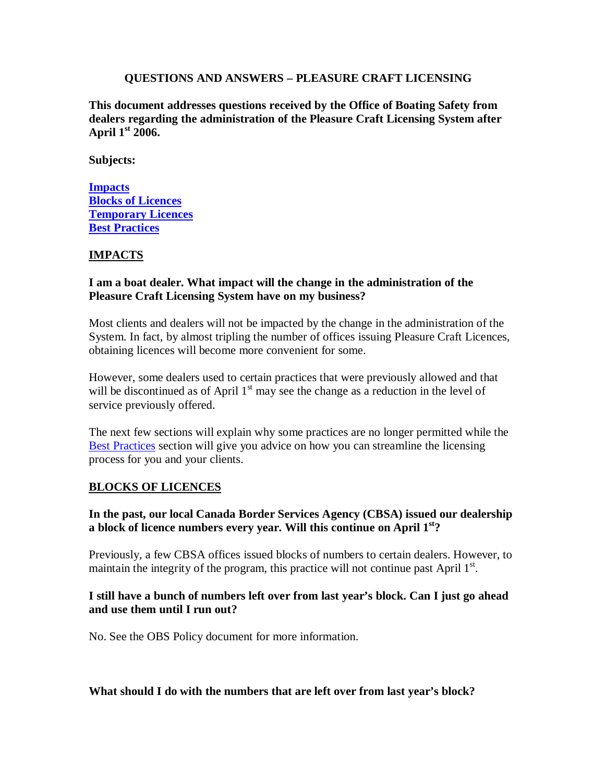#### **QUESTIONS AND ANSWERS – PLEASURE CRAFT LICENSING**

**This document addresses questions received by the Office of Boating Safety from dealers regarding the administration of the Pleasure Craft Licensing System after April 1st 2006.**

**Subjects:**

**Impacts Blocks of Licences Temporary Licences Best Practices**

### **IMPACTS**

#### **I am a boat dealer. What impact will the change in the administration of the Pleasure Craft Licensing System have on my business?**

Most clients and dealers will not be impacted by the change in the administration of the System. In fact, by almost tripling the number of offices issuing Pleasure Craft Licences, obtaining licences will become more convenient for some.

However, some dealers used to certain practices that were previously allowed and that will be discontinued as of April  $1<sup>st</sup>$  may see the change as a reduction in the level of service previously offered.

The next few sections will explain why some practices are no longer permitted while the Best Practices section will give you advice on how you can streamline the licensing process for you and your clients.

#### **BLOCKS OF LICENCES**

### **In the past, our local Canada Border Services Agency (CBSA) issued our dealership a block of licence numbers every year. Will this continue on April 1st?**

Previously, a few CBSA offices issued blocks of numbers to certain dealers. However, to maintain the integrity of the program, this practice will not continue past April  $1<sup>st</sup>$ .

#### **I still have a bunch of numbers left over from last year's block. Can I just go ahead and use them until I run out?**

No. See the OBS Policy document for more information.

#### **What should I do with the numbers that are left over from last year's block?**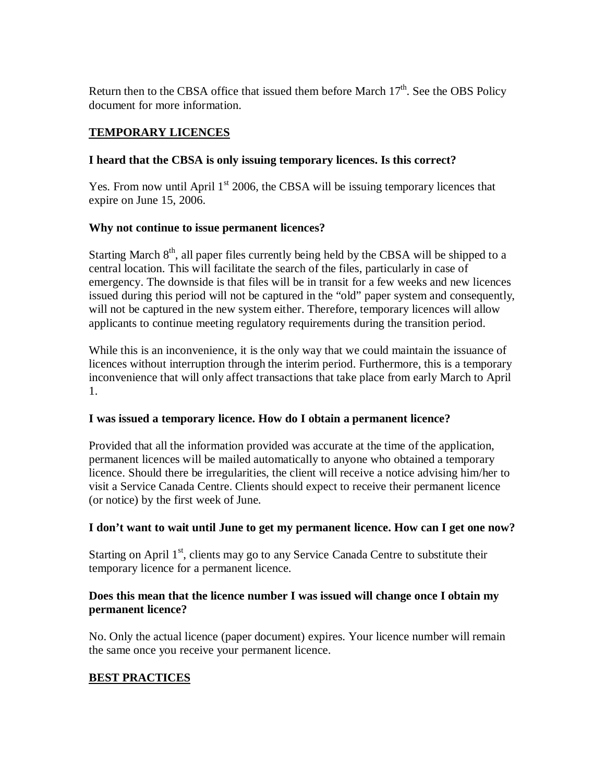Return then to the CBSA office that issued them before March  $17<sup>th</sup>$ . See the OBS Policy document for more information.

# **TEMPORARY LICENCES**

# **I heard that the CBSA is only issuing temporary licences. Is this correct?**

Yes. From now until April  $1<sup>st</sup>$  2006, the CBSA will be issuing temporary licences that expire on June 15, 2006.

# **Why not continue to issue permanent licences?**

Starting March  $8<sup>th</sup>$ , all paper files currently being held by the CBSA will be shipped to a central location. This will facilitate the search of the files, particularly in case of emergency. The downside is that files will be in transit for a few weeks and new licences issued during this period will not be captured in the "old" paper system and consequently, will not be captured in the new system either. Therefore, temporary licences will allow applicants to continue meeting regulatory requirements during the transition period.

While this is an inconvenience, it is the only way that we could maintain the issuance of licences without interruption through the interim period. Furthermore, this is a temporary inconvenience that will only affect transactions that take place from early March to April 1.

# **I was issued a temporary licence. How do I obtain a permanent licence?**

Provided that all the information provided was accurate at the time of the application, permanent licences will be mailed automatically to anyone who obtained a temporary licence. Should there be irregularities, the client will receive a notice advising him/her to visit a Service Canada Centre. Clients should expect to receive their permanent licence (or notice) by the first week of June.

# **I don't want to wait until June to get my permanent licence. How can I get one now?**

Starting on April  $1<sup>st</sup>$ , clients may go to any Service Canada Centre to substitute their temporary licence for a permanent licence.

# **Does this mean that the licence number I was issued will change once I obtain my permanent licence?**

No. Only the actual licence (paper document) expires. Your licence number will remain the same once you receive your permanent licence.

# **BEST PRACTICES**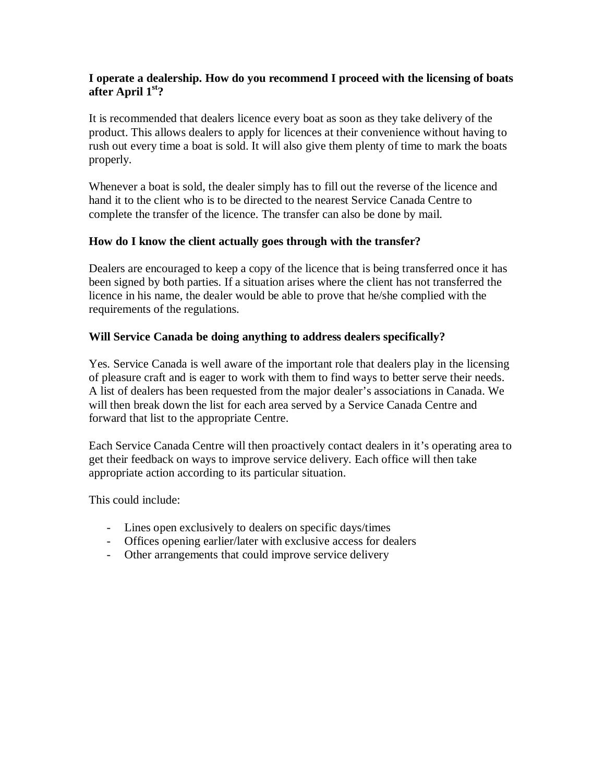### **I operate a dealership. How do you recommend I proceed with the licensing of boats after April 1st?**

It is recommended that dealers licence every boat as soon as they take delivery of the product. This allows dealers to apply for licences at their convenience without having to rush out every time a boat is sold. It will also give them plenty of time to mark the boats properly.

Whenever a boat is sold, the dealer simply has to fill out the reverse of the licence and hand it to the client who is to be directed to the nearest Service Canada Centre to complete the transfer of the licence. The transfer can also be done by mail.

### **How do I know the client actually goes through with the transfer?**

Dealers are encouraged to keep a copy of the licence that is being transferred once it has been signed by both parties. If a situation arises where the client has not transferred the licence in his name, the dealer would be able to prove that he/she complied with the requirements of the regulations.

### **Will Service Canada be doing anything to address dealers specifically?**

Yes. Service Canada is well aware of the important role that dealers play in the licensing of pleasure craft and is eager to work with them to find ways to better serve their needs. A list of dealers has been requested from the major dealer's associations in Canada. We will then break down the list for each area served by a Service Canada Centre and forward that list to the appropriate Centre.

Each Service Canada Centre will then proactively contact dealers in it's operating area to get their feedback on ways to improve service delivery. Each office will then take appropriate action according to its particular situation.

This could include:

- Lines open exclusively to dealers on specific days/times
- Offices opening earlier/later with exclusive access for dealers
- Other arrangements that could improve service delivery